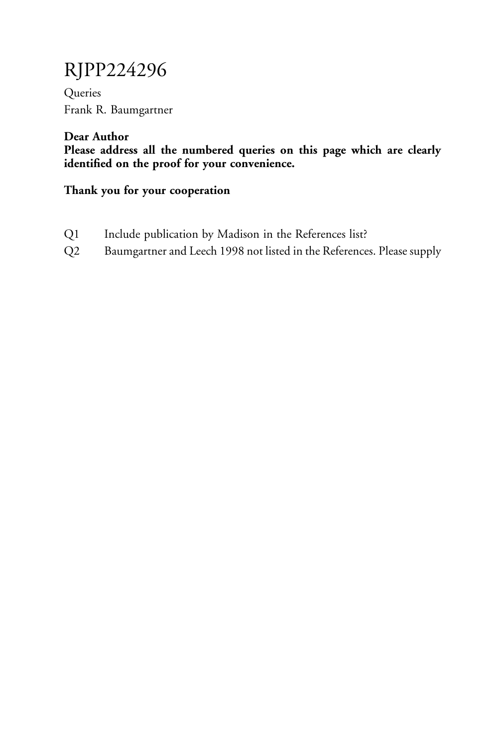# RJPP224296

Queries Frank R. Baumgartner

# Dear Author

Please address all the numbered queries on this page which are clearly identified on the proof for your convenience.

## Thank you for your cooperation

- Q1 Include publication by Madison in the References list?
- Q2 Baumgartner and Leech 1998 not listed in the References. Please supply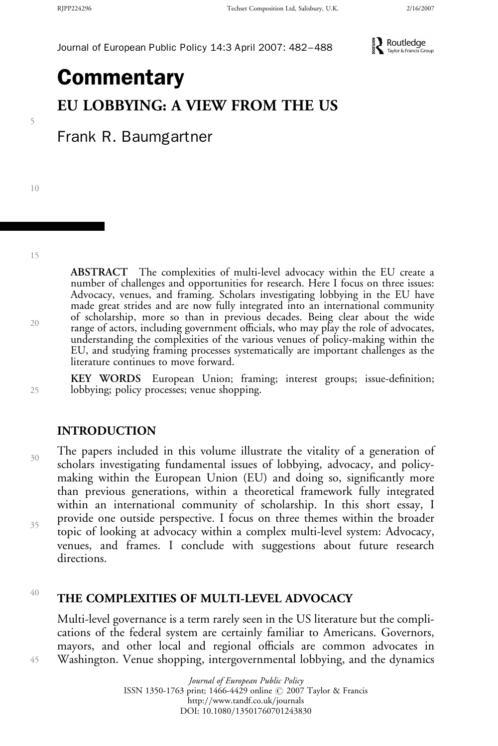Journal of European Public Policy 14:3 April 2007: 482-488



# **Commentary** EU LOBBYING: A VIEW FROM THE US

Frank R. Baumgartner

5

15

20

25

ABSTRACT The complexities of multi-level advocacy within the EU create a number of challenges and opportunities for research. Here I focus on three issues: Advocacy, venues, and framing. Scholars investigating lobbying in the EU have made great strides and are now fully integrated into an international community of scholarship, more so than in previous decades. Being clear about the wide range of actors, including government officials, who may play the role of advocates, understanding the complexities of the various venues of policy-making within the EU, and studying framing processes systematically are important challenges as the literature continues to move forward.

KEY WORDS European Union; framing; interest groups; issue-definition; lobbying; policy processes; venue shopping.

#### INTRODUCTION

The papers included in this volume illustrate the vitality of a generation of scholars investigating fundamental issues of lobbying, advocacy, and policymaking within the European Union (EU) and doing so, significantly more than previous generations, within a theoretical framework fully integrated within an international community of scholarship. In this short essay, I provide one outside perspective. I focus on three themes within the broader topic of looking at advocacy within a complex multi-level system: Advocacy, venues, and frames. I conclude with suggestions about future research directions. 30 35

40

45

## THE COMPLEXITIES OF MULTI-LEVEL ADVOCACY

Multi-level governance is a term rarely seen in the US literature but the complications of the federal system are certainly familiar to Americans. Governors, mayors, and other local and regional officials are common advocates in Washington. Venue shopping, intergovernmental lobbying, and the dynamics

> Journal of European Public Policy ISSN 1350-1763 print; 1466-4429 online  $\oslash$  2007 Taylor & Francis http://www.tandf.co.uk/journals DOI: 10.1080/13501760701243830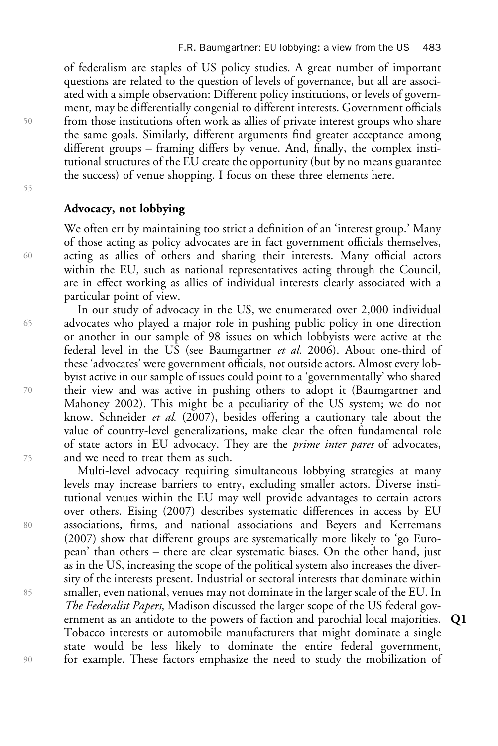of federalism are staples of US policy studies. A great number of important questions are related to the question of levels of governance, but all are associated with a simple observation: Different policy institutions, or levels of government, may be differentially congenial to different interests. Government officials from those institutions often work as allies of private interest groups who share the same goals. Similarly, different arguments find greater acceptance among different groups – framing differs by venue. And, finally, the complex institutional structures of the EU create the opportunity (but by no means guarantee the success) of venue shopping. I focus on these three elements here.

#### Advocacy, not lobbying

We often err by maintaining too strict a definition of an 'interest group.' Many of those acting as policy advocates are in fact government officials themselves, acting as allies of others and sharing their interests. Many official actors within the EU, such as national representatives acting through the Council, are in effect working as allies of individual interests clearly associated with a particular point of view.

In our study of advocacy in the US, we enumerated over 2,000 individual advocates who played a major role in pushing public policy in one direction or another in our sample of 98 issues on which lobbyists were active at the federal level in the US (see Baumgartner et al. 2006). About one-third of these 'advocates' were government officials, not outside actors. Almost every lobbyist active in our sample of issues could point to a 'governmentally' who shared their view and was active in pushing others to adopt it (Baumgartner and Mahoney 2002). This might be a peculiarity of the US system; we do not know. Schneider et al. (2007), besides offering a cautionary tale about the value of country-level generalizations, make clear the often fundamental role of state actors in EU advocacy. They are the prime inter pares of advocates, and we need to treat them as such.

Multi-level advocacy requiring simultaneous lobbying strategies at many levels may increase barriers to entry, excluding smaller actors. Diverse institutional venues within the EU may well provide advantages to certain actors over others. Eising (2007) describes systematic differences in access by EU associations, firms, and national associations and Beyers and Kerremans (2007) show that different groups are systematically more likely to 'go European' than others – there are clear systematic biases. On the other hand, just as in the US, increasing the scope of the political system also increases the diversity of the interests present. Industrial or sectoral interests that dominate within smaller, even national, venues may not dominate in the larger scale of the EU. In The Federalist Papers, Madison discussed the larger scope of the US federal government as an antidote to the powers of faction and parochial local majorities. Q1 Tobacco interests or automobile manufacturers that might dominate a single state would be less likely to dominate the entire federal government, for example. These factors emphasize the need to study the mobilization of

50

55

60

65

75

70

80

 $90$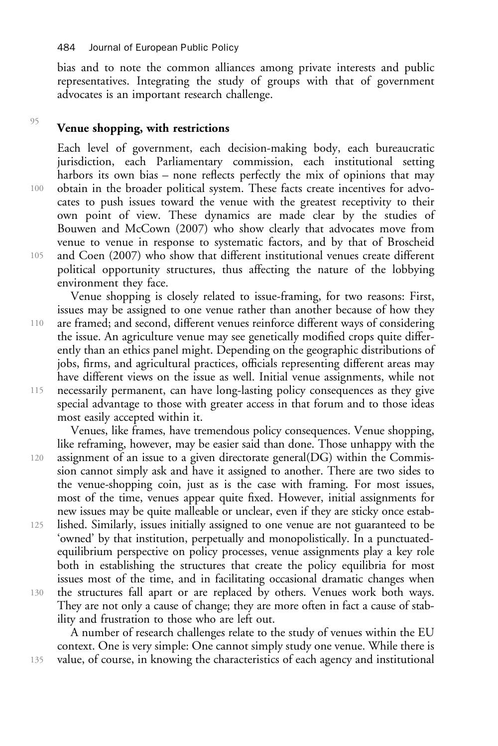#### 484 Journal of European Public Policy

bias and to note the common alliances among private interests and public representatives. Integrating the study of groups with that of government advocates is an important research challenge.

#### 95

#### Venue shopping, with restrictions

Each level of government, each decision-making body, each bureaucratic jurisdiction, each Parliamentary commission, each institutional setting harbors its own bias – none reflects perfectly the mix of opinions that may obtain in the broader political system. These facts create incentives for advocates to push issues toward the venue with the greatest receptivity to their own point of view. These dynamics are made clear by the studies of Bouwen and McCown (2007) who show clearly that advocates move from venue to venue in response to systematic factors, and by that of Broscheid and Coen (2007) who show that different institutional venues create different political opportunity structures, thus affecting the nature of the lobbying environment they face.

Venue shopping is closely related to issue-framing, for two reasons: First, issues may be assigned to one venue rather than another because of how they are framed; and second, different venues reinforce different ways of considering

the issue. An agriculture venue may see genetically modified crops quite differently than an ethics panel might. Depending on the geographic distributions of jobs, firms, and agricultural practices, officials representing different areas may have different views on the issue as well. Initial venue assignments, while not necessarily permanent, can have long-lasting policy consequences as they give special advantage to those with greater access in that forum and to those ideas most easily accepted within it. 115

Venues, like frames, have tremendous policy consequences. Venue shopping, like reframing, however, may be easier said than done. Those unhappy with the assignment of an issue to a given directorate general(DG) within the Commission cannot simply ask and have it assigned to another. There are two sides to the venue-shopping coin, just as is the case with framing. For most issues, most of the time, venues appear quite fixed. However, initial assignments for new issues may be quite malleable or unclear, even if they are sticky once estab-

lished. Similarly, issues initially assigned to one venue are not guaranteed to be 'owned' by that institution, perpetually and monopolistically. In a punctuatedequilibrium perspective on policy processes, venue assignments play a key role both in establishing the structures that create the policy equilibria for most issues most of the time, and in facilitating occasional dramatic changes when the structures fall apart or are replaced by others. Venues work both ways. They are not only a cause of change; they are more often in fact a cause of stab-125 130

ility and frustration to those who are left out. A number of research challenges relate to the study of venues within the EU context. One is very simple: One cannot simply study one venue. While there is

value, of course, in knowing the characteristics of each agency and institutional 135

100

105

110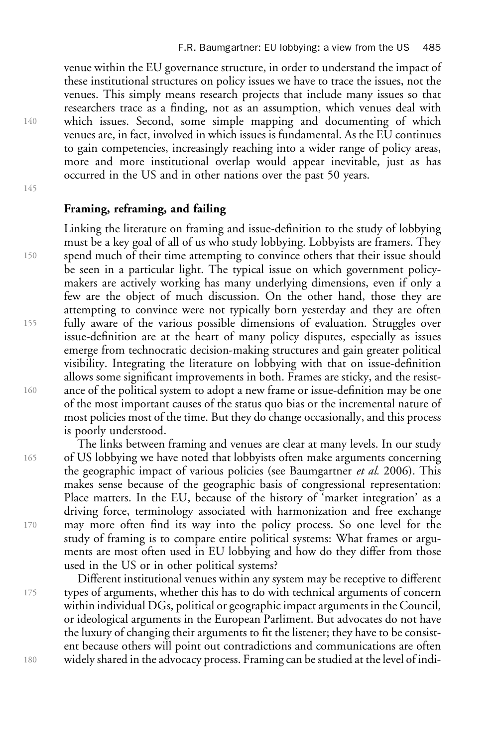venue within the EU governance structure, in order to understand the impact of these institutional structures on policy issues we have to trace the issues, not the venues. This simply means research projects that include many issues so that researchers trace as a finding, not as an assumption, which venues deal with which issues. Second, some simple mapping and documenting of which venues are, in fact, involved in which issues is fundamental. As the EU continues to gain competencies, increasingly reaching into a wider range of policy areas, more and more institutional overlap would appear inevitable, just as has occurred in the US and in other nations over the past 50 years.

145

140

### Framing, reframing, and failing

Linking the literature on framing and issue-definition to the study of lobbying must be a key goal of all of us who study lobbying. Lobbyists are framers. They spend much of their time attempting to convince others that their issue should be seen in a particular light. The typical issue on which government policymakers are actively working has many underlying dimensions, even if only a few are the object of much discussion. On the other hand, those they are attempting to convince were not typically born yesterday and they are often fully aware of the various possible dimensions of evaluation. Struggles over issue-definition are at the heart of many policy disputes, especially as issues emerge from technocratic decision-making structures and gain greater political visibility. Integrating the literature on lobbying with that on issue-definition allows some significant improvements in both. Frames are sticky, and the resistance of the political system to adopt a new frame or issue-definition may be one of the most important causes of the status quo bias or the incremental nature of most policies most of the time. But they do change occasionally, and this process is poorly understood. 150 155 160

The links between framing and venues are clear at many levels. In our study of US lobbying we have noted that lobbyists often make arguments concerning the geographic impact of various policies (see Baumgartner *et al.* 2006). This makes sense because of the geographic basis of congressional representation: Place matters. In the EU, because of the history of 'market integration' as a driving force, terminology associated with harmonization and free exchange may more often find its way into the policy process. So one level for the study of framing is to compare entire political systems: What frames or arguments are most often used in EU lobbying and how do they differ from those used in the US or in other political systems?

Different institutional venues within any system may be receptive to different types of arguments, whether this has to do with technical arguments of concern within individual DGs, political or geographic impact arguments in the Council, or ideological arguments in the European Parliment. But advocates do not have the luxury of changing their arguments to fit the listener; they have to be consistent because others will point out contradictions and communications are often widely shared in the advocacy process. Framing can be studied at the level of indi-

165

170

180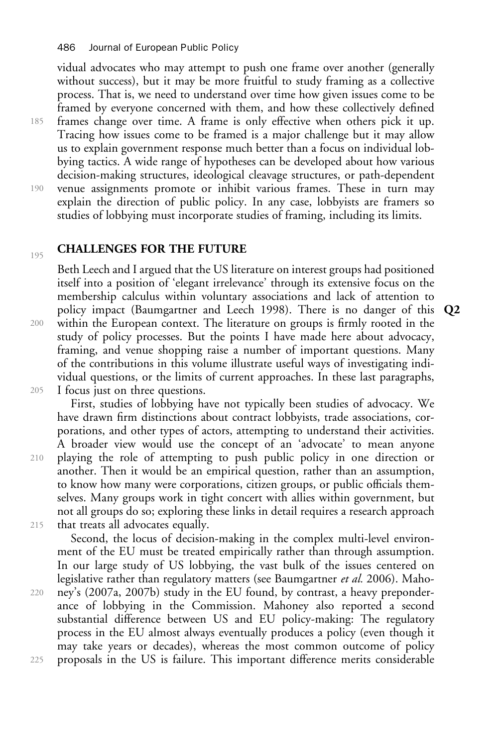vidual advocates who may attempt to push one frame over another (generally without success), but it may be more fruitful to study framing as a collective process. That is, we need to understand over time how given issues come to be framed by everyone concerned with them, and how these collectively defined

185

frames change over time. A frame is only effective when others pick it up. Tracing how issues come to be framed is a major challenge but it may allow us to explain government response much better than a focus on individual lobbying tactics. A wide range of hypotheses can be developed about how various decision-making structures, ideological cleavage structures, or path-dependent

venue assignments promote or inhibit various frames. These in turn may explain the direction of public policy. In any case, lobbyists are framers so studies of lobbying must incorporate studies of framing, including its limits. 190

#### CHALLENGES FOR THE FUTURE 195

Beth Leech and I argued that the US literature on interest groups had positioned itself into a position of 'elegant irrelevance' through its extensive focus on the membership calculus within voluntary associations and lack of attention to policy impact (Baumgartner and Leech 1998). There is no danger of this Q2 within the European context. The literature on groups is firmly rooted in the study of policy processes. But the points I have made here about advocacy, framing, and venue shopping raise a number of important questions. Many of the contributions in this volume illustrate useful ways of investigating individual questions, or the limits of current approaches. In these last paragraphs, I focus just on three questions.

205

200

First, studies of lobbying have not typically been studies of advocacy. We have drawn firm distinctions about contract lobbyists, trade associations, corporations, and other types of actors, attempting to understand their activities. A broader view would use the concept of an 'advocate' to mean anyone playing the role of attempting to push public policy in one direction or another. Then it would be an empirical question, rather than an assumption, to know how many were corporations, citizen groups, or public officials themselves. Many groups work in tight concert with allies within government, but not all groups do so; exploring these links in detail requires a research approach that treats all advocates equally.

215

210

Second, the locus of decision-making in the complex multi-level environment of the EU must be treated empirically rather than through assumption. In our large study of US lobbying, the vast bulk of the issues centered on legislative rather than regulatory matters (see Baumgartner et al. 2006). Maho-

ney's (2007a, 2007b) study in the EU found, by contrast, a heavy preponderance of lobbying in the Commission. Mahoney also reported a second substantial difference between US and EU policy-making: The regulatory process in the EU almost always eventually produces a policy (even though it may take years or decades), whereas the most common outcome of policy proposals in the US is failure. This important difference merits considerable 220 225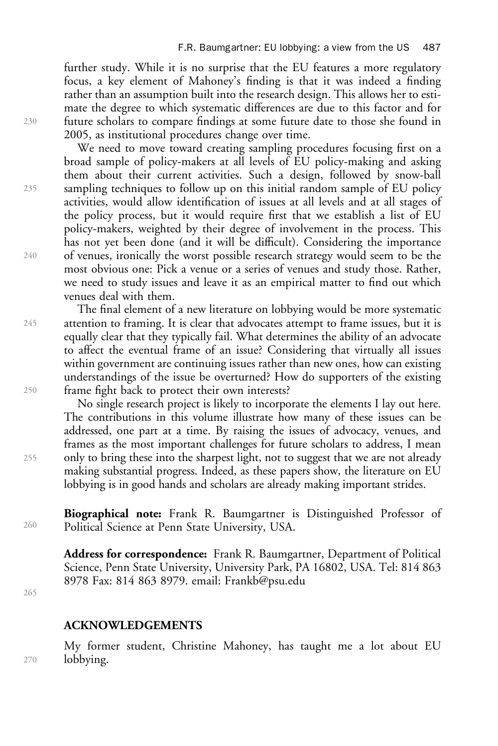further study. While it is no surprise that the EU features a more regulatory focus, a key element of Mahoney's finding is that it was indeed a finding rather than an assumption built into the research design. This allows her to estimate the degree to which systematic differences are due to this factor and for future scholars to compare findings at some future date to those she found in 2005, as institutional procedures change over time.

We need to move toward creating sampling procedures focusing first on a broad sample of policy-makers at all levels of EU policy-making and asking them about their current activities. Such a design, followed by snow-ball sampling techniques to follow up on this initial random sample of EU policy activities, would allow identification of issues at all levels and at all stages of the policy process, but it would require first that we establish a list of EU policy-makers, weighted by their degree of involvement in the process. This has not yet been done (and it will be difficult). Considering the importance of venues, ironically the worst possible research strategy would seem to be the most obvious one: Pick a venue or a series of venues and study those. Rather, we need to study issues and leave it as an empirical matter to find out which venues deal with them.

The final element of a new literature on lobbying would be more systematic attention to framing. It is clear that advocates attempt to frame issues, but it is equally clear that they typically fail. What determines the ability of an advocate to affect the eventual frame of an issue? Considering that virtually all issues within government are continuing issues rather than new ones, how can existing understandings of the issue be overturned? How do supporters of the existing frame fight back to protect their own interests?

No single research project is likely to incorporate the elements I lay out here. The contributions in this volume illustrate how many of these issues can be addressed, one part at a time. By raising the issues of advocacy, venues, and frames as the most important challenges for future scholars to address, I mean only to bring these into the sharpest light, not to suggest that we are not already making substantial progress. Indeed, as these papers show, the literature on EU lobbying is in good hands and scholars are already making important strides.

**Biographical note:** Frank R. Baumgartner is Distinguished Professor of Political Science at Penn State University, USA.

Address for correspondence: Frank R. Baumgartner, Department of Political Science, Penn State University, University Park, PA 16802, USA. Tel: 814 863 8978 Fax: 814 863 8979. email: Frankb@psu.edu

265

270

### ACKNOWLEDGEMENTS

My former student, Christine Mahoney, has taught me a lot about EU lobbying.

230

235

240

250

245

260